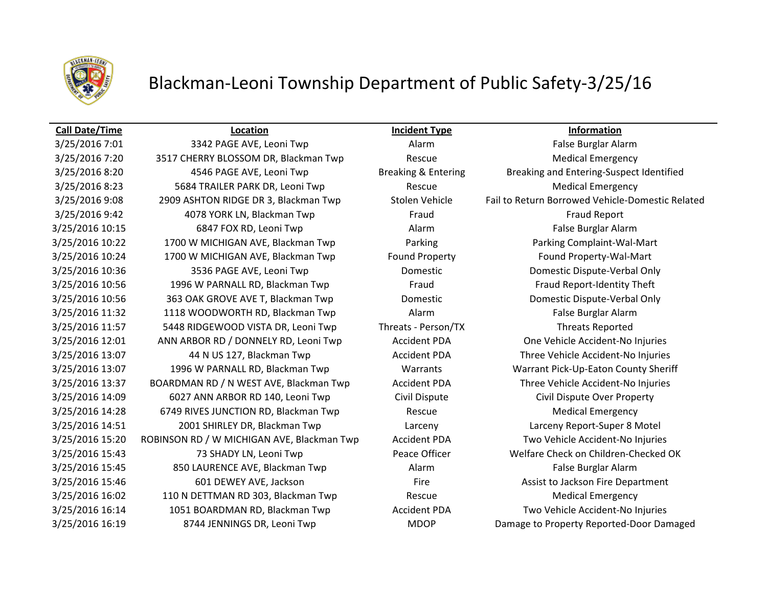

## Blackman-Leoni Township Department of Public Safety-3/25/16

## **Call Date/Time Location Incident Type Information**

3/25/2016 7:01 3342 PAGE AVE, Leoni Twp Alarm Alarm Alarm False Burglar Alarm 3/25/2016 7:20 3517 CHERRY BLOSSOM DR, Blackman Twp Rescue Rescue Medical Emergency 3/25/2016 8:23 5684 TRAILER PARK DR, Leoni Twp Rescue Rescue Medical Emergency 3/25/2016 9:42 **4078 YORK LN, Blackman Twp** Fraud Fraud Fraud Fraud Fraud Report 3/25/2016 10:15 6847 FOX RD, Leoni Twp Alarm Alarm Alarm False Burglar Alarm 3/25/2016 10:22 1700 W MICHIGAN AVE, Blackman Twp Parking Parking Complaint-Wal-Mart 3/25/2016 10:24 1700 W MICHIGAN AVE, Blackman Twp Found Property Found Property-Wal-Mart 3/25/2016 10:36 3536 PAGE AVE, Leoni Twp Domestic Domestic Dispute-Verbal Only 3/25/2016 10:56 1996 W PARNALL RD, Blackman Twp Fraud Fraud Fraud Fraud Report-Identity Theft 3/25/2016 10:56 363 OAK GROVE AVE T, Blackman Twp Domestic Domestic Dispute-Verbal Only 3/25/2016 11:32 1118 WOODWORTH RD, Blackman Twp Alarm Alarm False Burglar Alarm 3/25/2016 11:57 5448 RIDGEWOOD VISTA DR, Leoni Twp Threats - Person/TX Threats Reported 3/25/2016 12:01 ANN ARBOR RD / DONNELY RD, Leoni Twp Accident PDA One Vehicle Accident-No Injuries 3/25/2016 13:07 44 N US 127, Blackman Twp Accident PDA Three Vehicle Accident-No Injuries 3/25/2016 13:07 1996 W PARNALL RD, Blackman Twp Warrants Warrant Pick-Up-Eaton County Sheriff 3/25/2016 13:37 BOARDMAN RD / N WEST AVE, Blackman Twp Accident PDA Three Vehicle Accident-No Injuries 3/25/2016 14:09 6027 ANN ARBOR RD 140, Leoni Twp Civil Dispute Civil Dispute Over Property 3/25/2016 14:28 6749 RIVES JUNCTION RD, Blackman Twp Rescue Rescue Medical Emergency 3/25/2016 14:51 2001 SHIRLEY DR, Blackman Twp Larceny Larceny Report-Super 8 Motel 3/25/2016 15:20 ROBINSON RD / W MICHIGAN AVE, Blackman Twp Accident PDA Two Vehicle Accident-No Injuries 3/25/2016 15:45 850 LAURENCE AVE, Blackman Twp Alarm Alarm Alarm False Burglar Alarm 3/25/2016 15:46 601 DEWEY AVE, Jackson Fire Assist to Jackson Fire Department 3/25/2016 16:02 110 N DETTMAN RD 303, Blackman Twp Rescue Rescue Medical Emergency 3/25/2016 16:14 1051 BOARDMAN RD, Blackman Twp Accident PDA Two Vehicle Accident-No Injuries 3/25/2016 16:19 8744 JENNINGS DR, Leoni Twp MDOP Damage to Property Reported-Door Damaged

3/25/2016 8:20 4546 PAGE AVE, Leoni Twp Breaking & Entering Breaking and Entering-Suspect Identified 3/25/2016 9:08 2909 ASHTON RIDGE DR 3, Blackman Twp Stolen Vehicle Fail to Return Borrowed Vehicle-Domestic Related 3/25/2016 15:43 73 SHADY LN, Leoni Twp Peace Officer Welfare Check on Children-Checked OK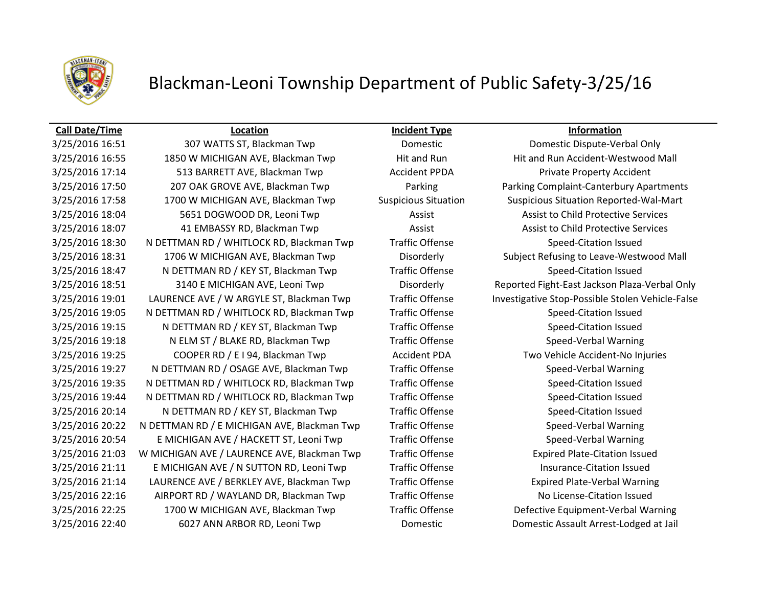

## Blackman-Leoni Township Department of Public Safety-3/25/16

### **Call Date/Time Location Incident Type Information**

3/25/2016 16:55 1850 W MICHIGAN AVE, Blackman Twp Hit and Run Hit and Run Hit and Run Accident-Westwood Mall 3/25/2016 17:14 513 BARRETT AVE, Blackman Twp Accident PPDA Private Property Accident 3/25/2016 17:50 207 OAK GROVE AVE, Blackman Twp Parking Parking Complaint-Canterbury Apartments 3/25/2016 17:58 1700 W MICHIGAN AVE, Blackman Twp Suspicious Situation Suspicious Situation Reported-Wal-Mart 3/25/2016 18:04 5651 DOGWOOD DR, Leoni Twp **Assist Assist Assist to Child Protective Services** 3/25/2016 18:07 41 EMBASSY RD, Blackman Twp Assist Assist Assist to Child Protective Services 3/25/2016 18:30 N DETTMAN RD / WHITLOCK RD, Blackman Twp Traffic Offense Speed-Citation Issued 3/25/2016 18:31 1706 W MICHIGAN AVE, Blackman Twp Disorderly Subject Refusing to Leave-Westwood Mall 3/25/2016 18:47 N DETTMAN RD / KEY ST, Blackman Twp Traffic Offense Speed-Citation Issued 3/25/2016 18:51 3140 E MICHIGAN AVE, Leoni Twp Disorderly Reported Fight-East Jackson Plaza-Verbal Only 3/25/2016 19:01 LAURENCE AVE / W ARGYLE ST, Blackman Twp Traffic Offense Investigative Stop-Possible Stolen Vehicle-False 3/25/2016 19:05 N DETTMAN RD / WHITLOCK RD, Blackman Twp Traffic Offense Speed-Citation Issued 3/25/2016 19:15 N DETTMAN RD / KEY ST, Blackman Twp Traffic Offense Speed-Citation Issued 3/25/2016 19:18 N ELM ST / BLAKE RD, Blackman Twp Traffic Offense Speed-Verbal Warning 3/25/2016 19:25 COOPER RD / E I 94, Blackman Twp Accident PDA Two Vehicle Accident-No Injuries 3/25/2016 19:27 N DETTMAN RD / OSAGE AVE, Blackman Twp Traffic Offense Speed-Verbal Warning 3/25/2016 19:35 N DETTMAN RD / WHITLOCK RD, Blackman Twp Traffic Offense Speed-Citation Issued 3/25/2016 19:44 N DETTMAN RD / WHITLOCK RD, Blackman Twp Traffic Offense Speed-Citation Issued 3/25/2016 20:14 N DETTMAN RD / KEY ST, Blackman Twp Traffic Offense Speed-Citation Issued 3/25/2016 20:22 N DETTMAN RD / E MICHIGAN AVE, Blackman Twp Traffic Offense Speed-Verbal Warning 3/25/2016 20:54 E MICHIGAN AVE / HACKETT ST, Leoni Twp Traffic Offense Speed-Verbal Warning 3/25/2016 21:03 W MICHIGAN AVE / LAURENCE AVE, Blackman Twp Traffic Offense Expired Plate-Citation Issued 3/25/2016 21:11 E MICHIGAN AVE / N SUTTON RD, Leoni Twp Traffic Offense Insurance-Citation Issued 3/25/2016 21:14 LAURENCE AVE / BERKLEY AVE, Blackman Twp Traffic Offense Expired Plate-Verbal Warning 3/25/2016 22:16 AIRPORT RD / WAYLAND DR, Blackman Twp Traffic Offense No License-Citation Issued 3/25/2016 22:25 1700 W MICHIGAN AVE, Blackman Twp Traffic Offense Defective Equipment-Verbal Warning 3/25/2016 22:40 6027 ANN ARBOR RD, Leoni Twp Domestic Domestic Assault Arrest-Lodged at Jail

3/25/2016 16:51 307 WATTS ST, Blackman Twp **Domestic** Domestic Dispute-Verbal Only